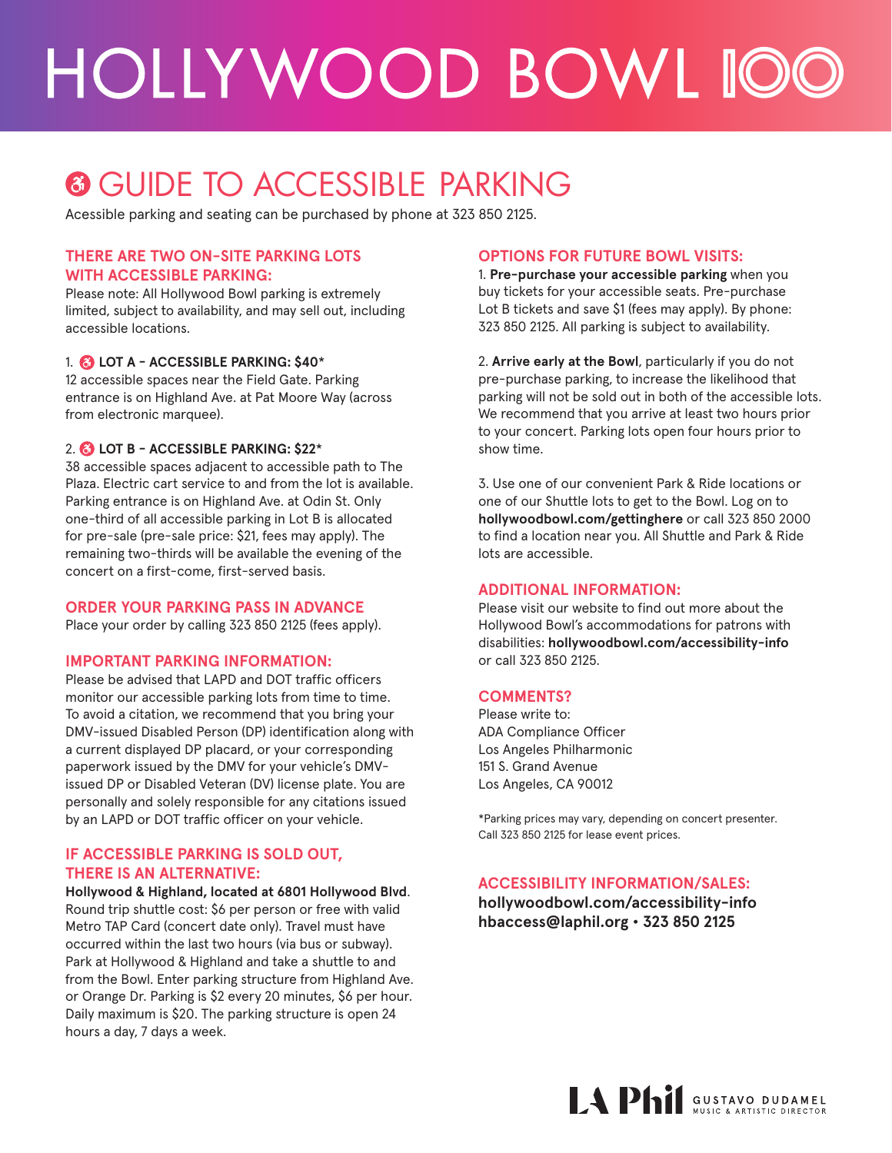## HOLLYWOOD BOWL IOO

### **<sup>6</sup>** GUIDE TO ACCESSIBLE PARKING

Acessible parking and seating can be purchased by phone at 323 850 2125.

#### **THERE ARE TWO ON-SITE PARKING LOTS WITH ACCESSIBLE PARKING:**

Please note: All Hollywood Bowl parking is extremely limited, subject to availability, and may sell out, including accessible locations.

#### 1. **LOT A - ACCESSIBLE PARKING: \$40**\*

12 accessible spaces near the Field Gate. Parking entrance is on Highland Ave. at Pat Moore Way (across from electronic marquee).

#### 2. **LOT B - ACCESSIBLE PARKING: \$22**\*

38 accessible spaces adjacent to accessible path to The Plaza. Electric cart service to and from the lot is available. Parking entrance is on Highland Ave. at Odin St. Only one-third of all accessible parking in Lot B is allocated for pre-sale (pre-sale price: \$21, fees may apply). The remaining two-thirds will be available the evening of the concert on a first-come, first-served basis.

#### **ORDER YOUR PARKING PASS IN ADVANCE**

Place your order by calling 323 850 2125 (fees apply).

#### **IMPORTANT PARKING INFORMATION:**

Please be advised that LAPD and DOT traffic officers monitor our accessible parking lots from time to time. To avoid a citation, we recommend that you bring your DMV-issued Disabled Person (DP) identification along with a current displayed DP placard, or your corresponding paperwork issued by the DMV for your vehicle's DMVissued DP or Disabled Veteran (DV) license plate. You are personally and solely responsible for any citations issued by an LAPD or DOT traffic officer on your vehicle.

#### **IF ACCESSIBLE PARKING IS SOLD OUT, THERE IS AN ALTERNATIVE:**

**Hollywood & Highland, located at 6801 Hollywood Blvd**. Round trip shuttle cost: \$6 per person or free with valid Metro TAP Card (concert date only). Travel must have occurred within the last two hours (via bus or subway). Park at Hollywood & Highland and take a shuttle to and from the Bowl. Enter parking structure from Highland Ave. or Orange Dr. Parking is \$2 every 20 minutes, \$6 per hour. Daily maximum is \$20. The parking structure is open 24 hours a day, 7 days a week.

#### **OPTIONS FOR FUTURE BOWL VISITS:**

1. **Pre-purchase your accessible parking** when you buy tickets for your accessible seats. Pre-purchase Lot B tickets and save \$1 (fees may apply). By phone: 323 850 2125. All parking is subject to availability.

2. **Arrive early at the Bowl**, particularly if you do not pre-purchase parking, to increase the likelihood that parking will not be sold out in both of the accessible lots. We recommend that you arrive at least two hours prior to your concert. Parking lots open four hours prior to show time.

3. Use one of our convenient Park & Ride locations or one of our Shuttle lots to get to the Bowl. Log on to **hollywoodbowl.com/gettinghere** or call 323 850 2000 to find a location near you. All Shuttle and Park & Ride lots are accessible.

#### **ADDITIONAL INFORMATION:**

Please visit our website to find out more about the Hollywood Bowl's accommodations for patrons with disabilities: **hollywoodbowl.com/accessibility-info** or call 323 850 2125.

#### **COMMENTS?**

Please write to: ADA Compliance Officer Los Angeles Philharmonic 151 S. Grand Avenue Los Angeles, CA 90012

\*Parking prices may vary, depending on concert presenter. Call 323 850 2125 for lease event prices.

#### **ACCESSIBILITY INFORMATION/SALES:**

**hollywoodbowl.com/accessibility-info hbaccess@laphil.org • 323 850 2125**